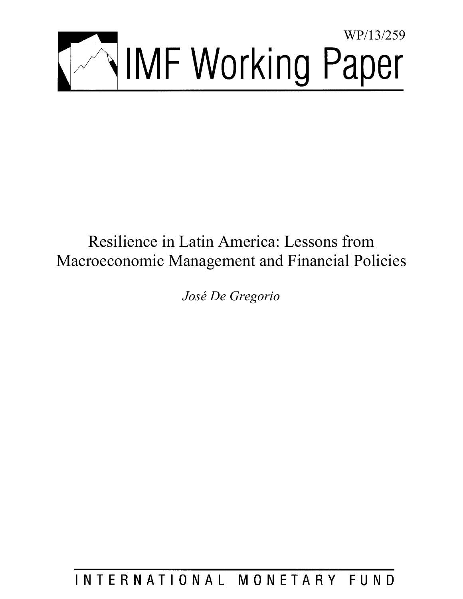

# Resilience in Latin America: Lessons from Macroeconomic Management and Financial Policies

*José De Gregorio* 

INTERNATIONAL MONETARY FUND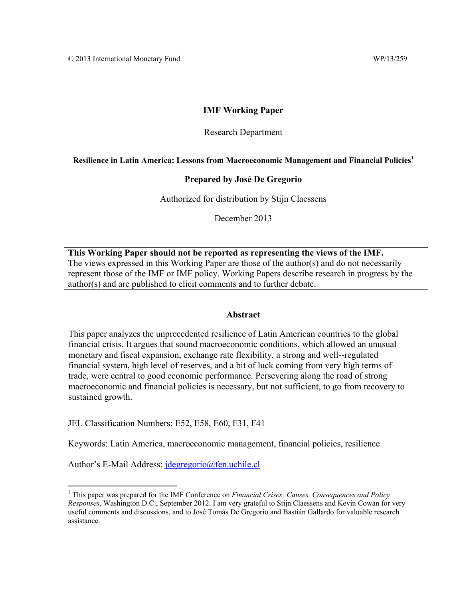## **IMF Working Paper**

#### Research Department

#### Resilience in Latin America: Lessons from Macroeconomic Management and Financial Policies<sup>1</sup>

#### **Prepared by José De Gregorio**

Authorized for distribution by Stijn Claessens

December 2013

**This Working Paper should not be reported as representing the views of the IMF.**  The views expressed in this Working Paper are those of the author(s) and do not necessarily represent those of the IMF or IMF policy. Working Papers describe research in progress by the author(s) and are published to elicit comments and to further debate.

#### **Abstract**

This paper analyzes the unprecedented resilience of Latin American countries to the global financial crisis. It argues that sound macroeconomic conditions, which allowed an unusual monetary and fiscal expansion, exchange rate flexibility, a strong and well-‐regulated financial system, high level of reserves, and a bit of luck coming from very high terms of trade, were central to good economic performance. Persevering along the road of strong macroeconomic and financial policies is necessary, but not sufficient, to go from recovery to sustained growth.

JEL Classification Numbers: E52, E58, E60, F31, F41

Keywords: Latin America, macroeconomic management, financial policies, resilience

Author's E-Mail Address: *jdegregorio@fen.uchile.cl* 

<sup>&</sup>lt;sup>1</sup> This paper was prepared for the IMF Conference on *Financial Crises: Causes, Consequences and Policy Responses*, Washington D.C., September 2012. I am very grateful to Stijn Claessens and Kevin Cowan for very useful comments and discussions, and to José Tomás De Gregorio and Bastián Gallardo for valuable research assistance.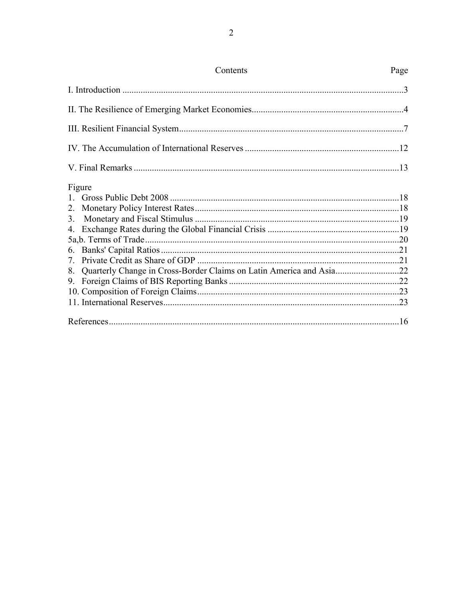| Contents                                                               | Page |
|------------------------------------------------------------------------|------|
|                                                                        |      |
|                                                                        |      |
|                                                                        |      |
|                                                                        |      |
|                                                                        |      |
| Figure                                                                 |      |
|                                                                        |      |
|                                                                        |      |
|                                                                        |      |
|                                                                        |      |
|                                                                        |      |
|                                                                        |      |
|                                                                        |      |
| 8. Quarterly Change in Cross-Border Claims on Latin America and Asia22 |      |
|                                                                        |      |
|                                                                        |      |
|                                                                        |      |
|                                                                        |      |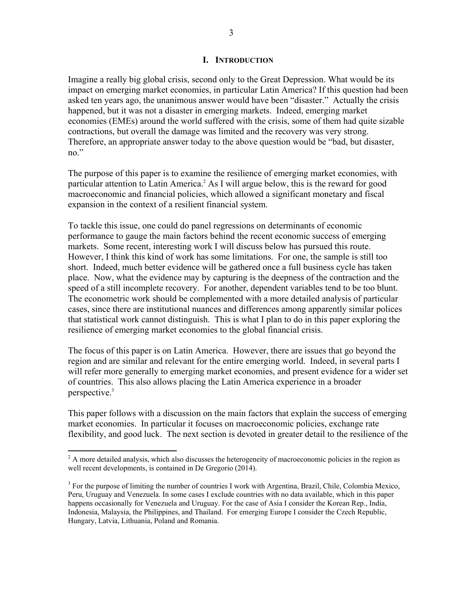#### **I. INTRODUCTION**

Imagine a really big global crisis, second only to the Great Depression. What would be its impact on emerging market economies, in particular Latin America? If this question had been asked ten years ago, the unanimous answer would have been "disaster." Actually the crisis happened, but it was not a disaster in emerging markets. Indeed, emerging market economies (EMEs) around the world suffered with the crisis, some of them had quite sizable contractions, but overall the damage was limited and the recovery was very strong. Therefore, an appropriate answer today to the above question would be "bad, but disaster, no."

The purpose of this paper is to examine the resilience of emerging market economies, with particular attention to Latin America.<sup>2</sup> As I will argue below, this is the reward for good macroeconomic and financial policies, which allowed a significant monetary and fiscal expansion in the context of a resilient financial system.

To tackle this issue, one could do panel regressions on determinants of economic performance to gauge the main factors behind the recent economic success of emerging markets. Some recent, interesting work I will discuss below has pursued this route. However, I think this kind of work has some limitations. For one, the sample is still too short. Indeed, much better evidence will be gathered once a full business cycle has taken place. Now, what the evidence may by capturing is the deepness of the contraction and the speed of a still incomplete recovery. For another, dependent variables tend to be too blunt. The econometric work should be complemented with a more detailed analysis of particular cases, since there are institutional nuances and differences among apparently similar polices that statistical work cannot distinguish. This is what I plan to do in this paper exploring the resilience of emerging market economies to the global financial crisis.

The focus of this paper is on Latin America. However, there are issues that go beyond the region and are similar and relevant for the entire emerging world. Indeed, in several parts I will refer more generally to emerging market economies, and present evidence for a wider set of countries. This also allows placing the Latin America experience in a broader perspective.<sup>3</sup>

This paper follows with a discussion on the main factors that explain the success of emerging market economies. In particular it focuses on macroeconomic policies, exchange rate flexibility, and good luck. The next section is devoted in greater detail to the resilience of the

<sup>&</sup>lt;sup>2</sup> A more detailed analysis, which also discusses the heterogeneity of macroeconomic policies in the region as well recent developments, is contained in De Gregorio (2014).

<sup>&</sup>lt;sup>3</sup> For the purpose of limiting the number of countries I work with Argentina, Brazil, Chile, Colombia Mexico, Peru, Uruguay and Venezuela. In some cases I exclude countries with no data available, which in this paper happens occasionally for Venezuela and Uruguay. For the case of Asia I consider the Korean Rep., India, Indonesia, Malaysia, the Philippines, and Thailand. For emerging Europe I consider the Czech Republic, Hungary, Latvia, Lithuania, Poland and Romania.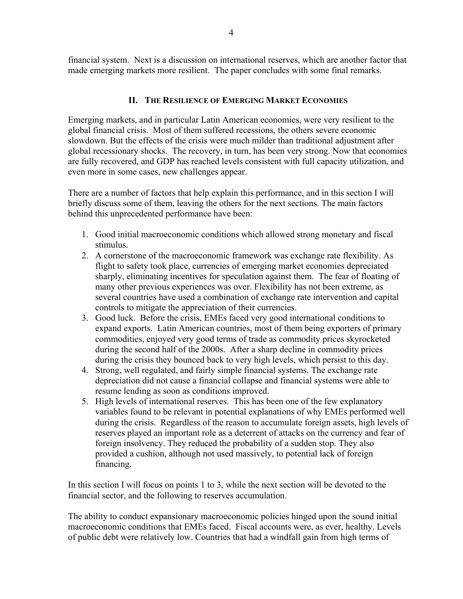financial system. Next is a discussion on international reserves, which are another factor that made emerging markets more resilient. The paper concludes with some final remarks.

# **II. THE RESILIENCE OF EMERGING MARKET ECONOMIES**

Emerging markets, and in particular Latin American economies, were very resilient to the global financial crisis. Most of them suffered recessions, the others severe economic slowdown. But the effects of the crisis were much milder than traditional adjustment after global recessionary shocks. The recovery, in turn, has been very strong. Now that economies are fully recovered, and GDP has reached levels consistent with full capacity utilization, and even more in some cases, new challenges appear.

There are a number of factors that help explain this performance, and in this section I will briefly discuss some of them, leaving the others for the next sections. The main factors behind this unprecedented performance have been:

- 1. Good initial macroeconomic conditions which allowed strong monetary and fiscal stimulus.
- 2. A cornerstone of the macroeconomic framework was exchange rate flexibility. As flight to safety took place, currencies of emerging market economies depreciated sharply, eliminating incentives for speculation against them. The fear of floating of many other previous experiences was over. Flexibility has not been extreme, as several countries have used a combination of exchange rate intervention and capital controls to mitigate the appreciation of their currencies.
- 3. Good luck. Before the crisis, EMEs faced very good international conditions to expand exports. Latin American countries, most of them being exporters of primary commodities, enjoyed very good terms of trade as commodity prices skyrocketed during the second half of the 2000s. After a sharp decline in commodity prices during the crisis they bounced back to very high levels, which persist to this day.
- 4. Strong, well regulated, and fairly simple financial systems. The exchange rate depreciation did not cause a financial collapse and financial systems were able to resume lending as soon as conditions improved.
- 5. High levels of international reserves. This has been one of the few explanatory variables found to be relevant in potential explanations of why EMEs performed well during the crisis. Regardless of the reason to accumulate foreign assets, high levels of reserves played an important role as a deterrent of attacks on the currency and fear of foreign insolvency. They reduced the probability of a sudden stop. They also provided a cushion, although not used massively, to potential lack of foreign financing.

In this section I will focus on points 1 to 3, while the next section will be devoted to the financial sector, and the following to reserves accumulation.

The ability to conduct expansionary macroeconomic policies hinged upon the sound initial macroeconomic conditions that EMEs faced. Fiscal accounts were, as ever, healthy. Levels of public debt were relatively low. Countries that had a windfall gain from high terms of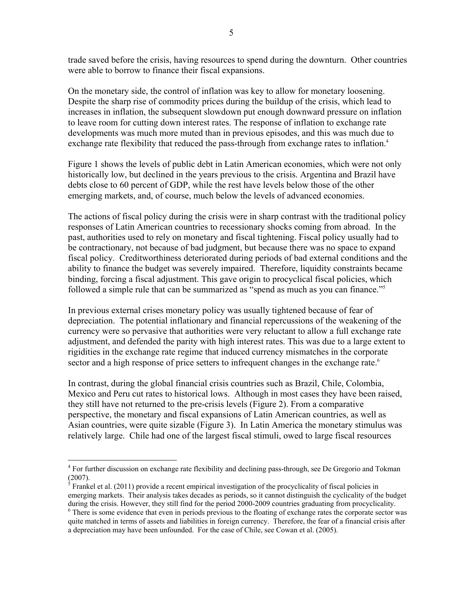trade saved before the crisis, having resources to spend during the downturn. Other countries were able to borrow to finance their fiscal expansions.

On the monetary side, the control of inflation was key to allow for monetary loosening. Despite the sharp rise of commodity prices during the buildup of the crisis, which lead to increases in inflation, the subsequent slowdown put enough downward pressure on inflation to leave room for cutting down interest rates. The response of inflation to exchange rate developments was much more muted than in previous episodes, and this was much due to exchange rate flexibility that reduced the pass-through from exchange rates to inflation.<sup>4</sup>

Figure 1 shows the levels of public debt in Latin American economies, which were not only historically low, but declined in the years previous to the crisis. Argentina and Brazil have debts close to 60 percent of GDP, while the rest have levels below those of the other emerging markets, and, of course, much below the levels of advanced economies.

The actions of fiscal policy during the crisis were in sharp contrast with the traditional policy responses of Latin American countries to recessionary shocks coming from abroad. In the past, authorities used to rely on monetary and fiscal tightening. Fiscal policy usually had to be contractionary, not because of bad judgment, but because there was no space to expand fiscal policy. Creditworthiness deteriorated during periods of bad external conditions and the ability to finance the budget was severely impaired. Therefore, liquidity constraints became binding, forcing a fiscal adjustment. This gave origin to procyclical fiscal policies, which followed a simple rule that can be summarized as "spend as much as you can finance."5

In previous external crises monetary policy was usually tightened because of fear of depreciation. The potential inflationary and financial repercussions of the weakening of the currency were so pervasive that authorities were very reluctant to allow a full exchange rate adjustment, and defended the parity with high interest rates. This was due to a large extent to rigidities in the exchange rate regime that induced currency mismatches in the corporate sector and a high response of price setters to infrequent changes in the exchange rate.<sup>6</sup>

In contrast, during the global financial crisis countries such as Brazil, Chile, Colombia, Mexico and Peru cut rates to historical lows. Although in most cases they have been raised, they still have not returned to the pre-crisis levels (Figure 2). From a comparative perspective, the monetary and fiscal expansions of Latin American countries, as well as Asian countries, were quite sizable (Figure 3). In Latin America the monetary stimulus was relatively large. Chile had one of the largest fiscal stimuli, owed to large fiscal resources

1

<sup>&</sup>lt;sup>4</sup> For further discussion on exchange rate flexibility and declining pass-through, see De Gregorio and Tokman (2007).

 $\frac{1}{5}$  Frankel et al. (2011) provide a recent empirical investigation of the procyclicality of fiscal policies in emerging markets. Their analysis takes decades as periods, so it cannot distinguish the cyclicality of the budget during the crisis. However, they still find for the period 2000-2009 countries graduating from procyclicality.

<sup>&</sup>lt;sup>6</sup> There is some evidence that even in periods previous to the floating of exchange rates the corporate sector was quite matched in terms of assets and liabilities in foreign currency. Therefore, the fear of a financial crisis after a depreciation may have been unfounded. For the case of Chile, see Cowan et al. (2005).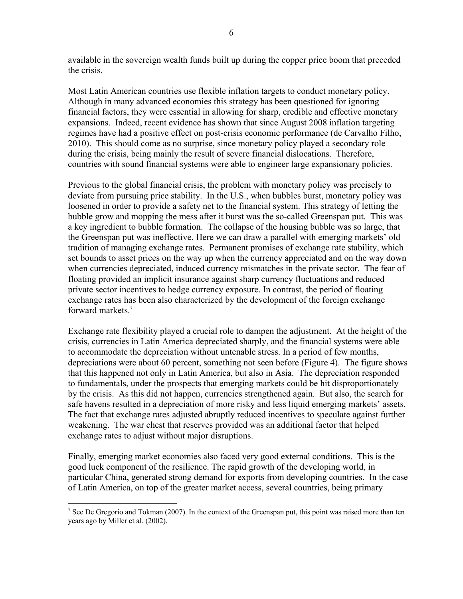available in the sovereign wealth funds built up during the copper price boom that preceded the crisis.

Most Latin American countries use flexible inflation targets to conduct monetary policy. Although in many advanced economies this strategy has been questioned for ignoring financial factors, they were essential in allowing for sharp, credible and effective monetary expansions. Indeed, recent evidence has shown that since August 2008 inflation targeting regimes have had a positive effect on post-crisis economic performance (de Carvalho Filho, 2010). This should come as no surprise, since monetary policy played a secondary role during the crisis, being mainly the result of severe financial dislocations. Therefore, countries with sound financial systems were able to engineer large expansionary policies.

Previous to the global financial crisis, the problem with monetary policy was precisely to deviate from pursuing price stability. In the U.S., when bubbles burst, monetary policy was loosened in order to provide a safety net to the financial system. This strategy of letting the bubble grow and mopping the mess after it burst was the so-called Greenspan put. This was a key ingredient to bubble formation. The collapse of the housing bubble was so large, that the Greenspan put was ineffective. Here we can draw a parallel with emerging markets' old tradition of managing exchange rates. Permanent promises of exchange rate stability, which set bounds to asset prices on the way up when the currency appreciated and on the way down when currencies depreciated, induced currency mismatches in the private sector. The fear of floating provided an implicit insurance against sharp currency fluctuations and reduced private sector incentives to hedge currency exposure. In contrast, the period of floating exchange rates has been also characterized by the development of the foreign exchange forward markets.7

Exchange rate flexibility played a crucial role to dampen the adjustment. At the height of the crisis, currencies in Latin America depreciated sharply, and the financial systems were able to accommodate the depreciation without untenable stress. In a period of few months, depreciations were about 60 percent, something not seen before (Figure 4). The figure shows that this happened not only in Latin America, but also in Asia. The depreciation responded to fundamentals, under the prospects that emerging markets could be hit disproportionately by the crisis. As this did not happen, currencies strengthened again. But also, the search for safe havens resulted in a depreciation of more risky and less liquid emerging markets' assets. The fact that exchange rates adjusted abruptly reduced incentives to speculate against further weakening. The war chest that reserves provided was an additional factor that helped exchange rates to adjust without major disruptions.

Finally, emerging market economies also faced very good external conditions. This is the good luck component of the resilience. The rapid growth of the developing world, in particular China, generated strong demand for exports from developing countries. In the case of Latin America, on top of the greater market access, several countries, being primary

 $\overline{a}$ 

<sup>&</sup>lt;sup>7</sup> See De Gregorio and Tokman (2007). In the context of the Greenspan put, this point was raised more than ten years ago by Miller et al. (2002).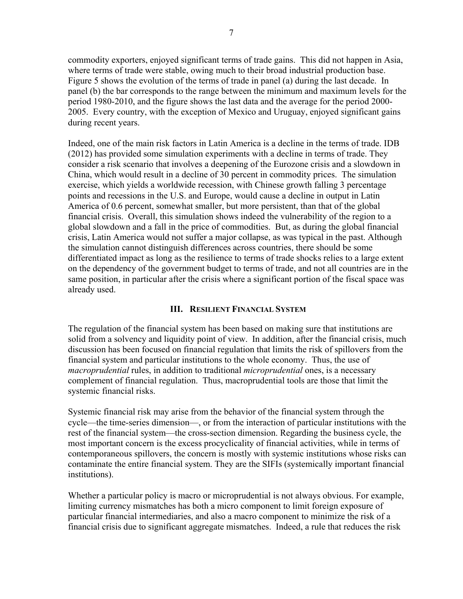commodity exporters, enjoyed significant terms of trade gains. This did not happen in Asia, where terms of trade were stable, owing much to their broad industrial production base. Figure 5 shows the evolution of the terms of trade in panel (a) during the last decade. In panel (b) the bar corresponds to the range between the minimum and maximum levels for the period 1980-2010, and the figure shows the last data and the average for the period 2000- 2005. Every country, with the exception of Mexico and Uruguay, enjoyed significant gains during recent years.

Indeed, one of the main risk factors in Latin America is a decline in the terms of trade. IDB (2012) has provided some simulation experiments with a decline in terms of trade. They consider a risk scenario that involves a deepening of the Eurozone crisis and a slowdown in China, which would result in a decline of 30 percent in commodity prices. The simulation exercise, which yields a worldwide recession, with Chinese growth falling 3 percentage points and recessions in the U.S. and Europe, would cause a decline in output in Latin America of 0.6 percent, somewhat smaller, but more persistent, than that of the global financial crisis. Overall, this simulation shows indeed the vulnerability of the region to a global slowdown and a fall in the price of commodities. But, as during the global financial crisis, Latin America would not suffer a major collapse, as was typical in the past. Although the simulation cannot distinguish differences across countries, there should be some differentiated impact as long as the resilience to terms of trade shocks relies to a large extent on the dependency of the government budget to terms of trade, and not all countries are in the same position, in particular after the crisis where a significant portion of the fiscal space was already used.

### **III. RESILIENT FINANCIAL SYSTEM**

The regulation of the financial system has been based on making sure that institutions are solid from a solvency and liquidity point of view. In addition, after the financial crisis, much discussion has been focused on financial regulation that limits the risk of spillovers from the financial system and particular institutions to the whole economy. Thus, the use of *macroprudential* rules, in addition to traditional *microprudential* ones, is a necessary complement of financial regulation. Thus, macroprudential tools are those that limit the systemic financial risks.

Systemic financial risk may arise from the behavior of the financial system through the cycle—the time-series dimension—, or from the interaction of particular institutions with the rest of the financial system—the cross-section dimension. Regarding the business cycle, the most important concern is the excess procyclicality of financial activities, while in terms of contemporaneous spillovers, the concern is mostly with systemic institutions whose risks can contaminate the entire financial system. They are the SIFIs (systemically important financial institutions).

Whether a particular policy is macro or microprudential is not always obvious. For example, limiting currency mismatches has both a micro component to limit foreign exposure of particular financial intermediaries, and also a macro component to minimize the risk of a financial crisis due to significant aggregate mismatches. Indeed, a rule that reduces the risk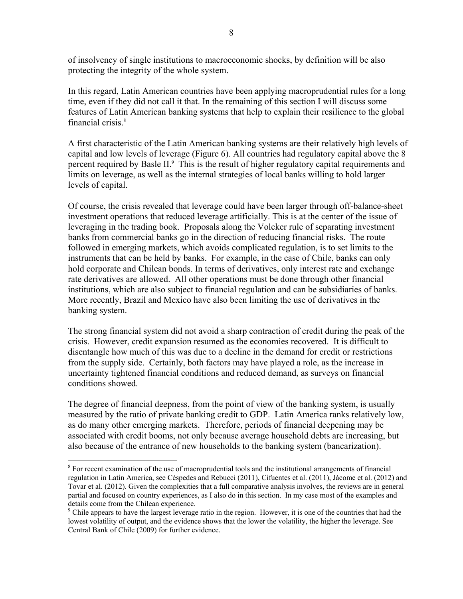of insolvency of single institutions to macroeconomic shocks, by definition will be also protecting the integrity of the whole system.

In this regard, Latin American countries have been applying macroprudential rules for a long time, even if they did not call it that. In the remaining of this section I will discuss some features of Latin American banking systems that help to explain their resilience to the global financial crisis<sup>8</sup>

A first characteristic of the Latin American banking systems are their relatively high levels of capital and low levels of leverage (Figure 6). All countries had regulatory capital above the 8 percent required by Basle II.<sup>9</sup> This is the result of higher regulatory capital requirements and limits on leverage, as well as the internal strategies of local banks willing to hold larger levels of capital.

Of course, the crisis revealed that leverage could have been larger through off-balance-sheet investment operations that reduced leverage artificially. This is at the center of the issue of leveraging in the trading book. Proposals along the Volcker rule of separating investment banks from commercial banks go in the direction of reducing financial risks. The route followed in emerging markets, which avoids complicated regulation, is to set limits to the instruments that can be held by banks. For example, in the case of Chile, banks can only hold corporate and Chilean bonds. In terms of derivatives, only interest rate and exchange rate derivatives are allowed. All other operations must be done through other financial institutions, which are also subject to financial regulation and can be subsidiaries of banks. More recently, Brazil and Mexico have also been limiting the use of derivatives in the banking system.

The strong financial system did not avoid a sharp contraction of credit during the peak of the crisis. However, credit expansion resumed as the economies recovered. It is difficult to disentangle how much of this was due to a decline in the demand for credit or restrictions from the supply side. Certainly, both factors may have played a role, as the increase in uncertainty tightened financial conditions and reduced demand, as surveys on financial conditions showed.

The degree of financial deepness, from the point of view of the banking system, is usually measured by the ratio of private banking credit to GDP. Latin America ranks relatively low, as do many other emerging markets. Therefore, periods of financial deepening may be associated with credit booms, not only because average household debts are increasing, but also because of the entrance of new households to the banking system (bancarization).

 $\overline{a}$ 

<sup>&</sup>lt;sup>8</sup> For recent examination of the use of macroprudential tools and the institutional arrangements of financial regulation in Latin America, see Céspedes and Rebucci (2011), Cifuentes et al. (2011), Jácome et al. (2012) and Tovar et al. (2012). Given the complexities that a full comparative analysis involves, the reviews are in general partial and focused on country experiences, as I also do in this section. In my case most of the examples and details come from the Chilean experience.

<sup>&</sup>lt;sup>9</sup> Chile appears to have the largest leverage ratio in the region. However, it is one of the countries that had the lowest volatility of output, and the evidence shows that the lower the volatility, the higher the leverage. See Central Bank of Chile (2009) for further evidence.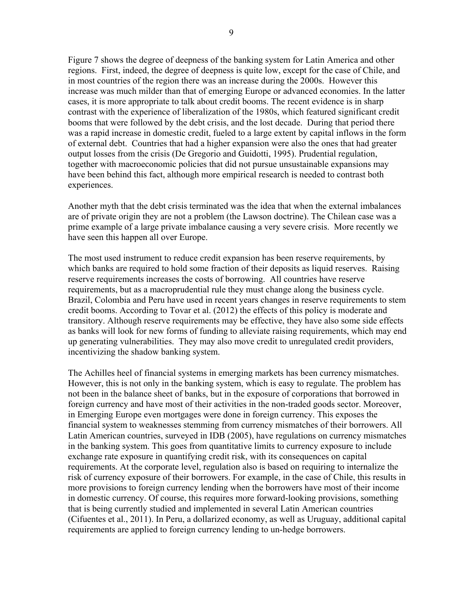Figure 7 shows the degree of deepness of the banking system for Latin America and other regions. First, indeed, the degree of deepness is quite low, except for the case of Chile, and in most countries of the region there was an increase during the 2000s. However this increase was much milder than that of emerging Europe or advanced economies. In the latter cases, it is more appropriate to talk about credit booms. The recent evidence is in sharp contrast with the experience of liberalization of the 1980s, which featured significant credit booms that were followed by the debt crisis, and the lost decade. During that period there was a rapid increase in domestic credit, fueled to a large extent by capital inflows in the form of external debt. Countries that had a higher expansion were also the ones that had greater output losses from the crisis (De Gregorio and Guidotti, 1995). Prudential regulation, together with macroeconomic policies that did not pursue unsustainable expansions may have been behind this fact, although more empirical research is needed to contrast both experiences.

Another myth that the debt crisis terminated was the idea that when the external imbalances are of private origin they are not a problem (the Lawson doctrine). The Chilean case was a prime example of a large private imbalance causing a very severe crisis. More recently we have seen this happen all over Europe.

The most used instrument to reduce credit expansion has been reserve requirements, by which banks are required to hold some fraction of their deposits as liquid reserves. Raising reserve requirements increases the costs of borrowing. All countries have reserve requirements, but as a macroprudential rule they must change along the business cycle. Brazil, Colombia and Peru have used in recent years changes in reserve requirements to stem credit booms. According to Tovar et al. (2012) the effects of this policy is moderate and transitory. Although reserve requirements may be effective, they have also some side effects as banks will look for new forms of funding to alleviate raising requirements, which may end up generating vulnerabilities. They may also move credit to unregulated credit providers, incentivizing the shadow banking system.

The Achilles heel of financial systems in emerging markets has been currency mismatches. However, this is not only in the banking system, which is easy to regulate. The problem has not been in the balance sheet of banks, but in the exposure of corporations that borrowed in foreign currency and have most of their activities in the non-traded goods sector. Moreover, in Emerging Europe even mortgages were done in foreign currency. This exposes the financial system to weaknesses stemming from currency mismatches of their borrowers. All Latin American countries, surveyed in IDB (2005), have regulations on currency mismatches in the banking system. This goes from quantitative limits to currency exposure to include exchange rate exposure in quantifying credit risk, with its consequences on capital requirements. At the corporate level, regulation also is based on requiring to internalize the risk of currency exposure of their borrowers. For example, in the case of Chile, this results in more provisions to foreign currency lending when the borrowers have most of their income in domestic currency. Of course, this requires more forward-looking provisions, something that is being currently studied and implemented in several Latin American countries (Cifuentes et al., 2011). In Peru, a dollarized economy, as well as Uruguay, additional capital requirements are applied to foreign currency lending to un-hedge borrowers.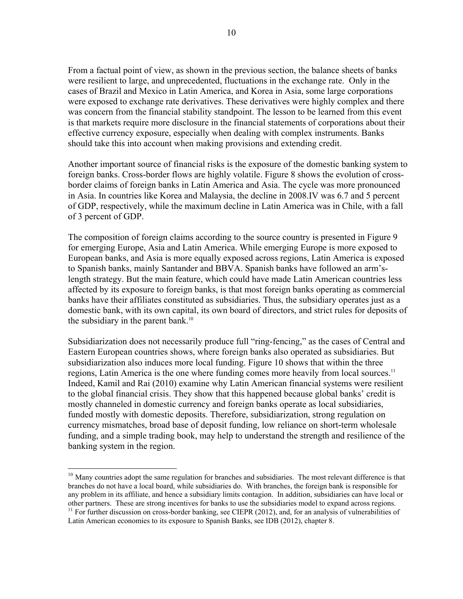From a factual point of view, as shown in the previous section, the balance sheets of banks were resilient to large, and unprecedented, fluctuations in the exchange rate. Only in the cases of Brazil and Mexico in Latin America, and Korea in Asia, some large corporations were exposed to exchange rate derivatives. These derivatives were highly complex and there was concern from the financial stability standpoint. The lesson to be learned from this event is that markets require more disclosure in the financial statements of corporations about their effective currency exposure, especially when dealing with complex instruments. Banks should take this into account when making provisions and extending credit.

Another important source of financial risks is the exposure of the domestic banking system to foreign banks. Cross-border flows are highly volatile. Figure 8 shows the evolution of crossborder claims of foreign banks in Latin America and Asia. The cycle was more pronounced in Asia. In countries like Korea and Malaysia, the decline in 2008.IV was 6.7 and 5 percent of GDP, respectively, while the maximum decline in Latin America was in Chile, with a fall of 3 percent of GDP.

The composition of foreign claims according to the source country is presented in Figure 9 for emerging Europe, Asia and Latin America. While emerging Europe is more exposed to European banks, and Asia is more equally exposed across regions, Latin America is exposed to Spanish banks, mainly Santander and BBVA. Spanish banks have followed an arm'slength strategy. But the main feature, which could have made Latin American countries less affected by its exposure to foreign banks, is that most foreign banks operating as commercial banks have their affiliates constituted as subsidiaries. Thus, the subsidiary operates just as a domestic bank, with its own capital, its own board of directors, and strict rules for deposits of the subsidiary in the parent bank. $10$ 

Subsidiarization does not necessarily produce full "ring-fencing," as the cases of Central and Eastern European countries shows, where foreign banks also operated as subsidiaries. But subsidiarization also induces more local funding. Figure 10 shows that within the three regions, Latin America is the one where funding comes more heavily from local sources.<sup>11</sup> Indeed, Kamil and Rai (2010) examine why Latin American financial systems were resilient to the global financial crisis. They show that this happened because global banks' credit is mostly channeled in domestic currency and foreign banks operate as local subsidiaries, funded mostly with domestic deposits. Therefore, subsidiarization, strong regulation on currency mismatches, broad base of deposit funding, low reliance on short-term wholesale funding, and a simple trading book, may help to understand the strength and resilience of the banking system in the region.

<u>.</u>

<sup>&</sup>lt;sup>10</sup> Many countries adopt the same regulation for branches and subsidiaries. The most relevant difference is that branches do not have a local board, while subsidiaries do. With branches, the foreign bank is responsible for any problem in its affiliate, and hence a subsidiary limits contagion. In addition, subsidiaries can have local or other partners. These are strong incentives for banks to use the subsidiaries model to expand across regions. <sup>11</sup> For further discussion on cross-border banking, see CIEPR (2012), and, for an analysis of vulnerabilities of

Latin American economies to its exposure to Spanish Banks, see IDB (2012), chapter 8.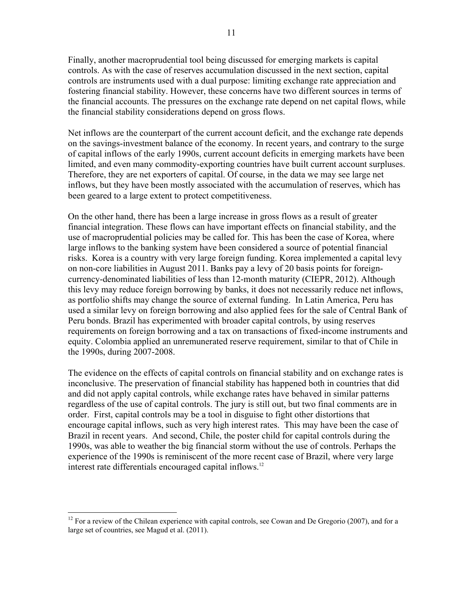Finally, another macroprudential tool being discussed for emerging markets is capital controls. As with the case of reserves accumulation discussed in the next section, capital controls are instruments used with a dual purpose: limiting exchange rate appreciation and fostering financial stability. However, these concerns have two different sources in terms of the financial accounts. The pressures on the exchange rate depend on net capital flows, while the financial stability considerations depend on gross flows.

Net inflows are the counterpart of the current account deficit, and the exchange rate depends on the savings-investment balance of the economy. In recent years, and contrary to the surge of capital inflows of the early 1990s, current account deficits in emerging markets have been limited, and even many commodity-exporting countries have built current account surpluses. Therefore, they are net exporters of capital. Of course, in the data we may see large net inflows, but they have been mostly associated with the accumulation of reserves, which has been geared to a large extent to protect competitiveness.

On the other hand, there has been a large increase in gross flows as a result of greater financial integration. These flows can have important effects on financial stability, and the use of macroprudential policies may be called for. This has been the case of Korea, where large inflows to the banking system have been considered a source of potential financial risks. Korea is a country with very large foreign funding. Korea implemented a capital levy on non-core liabilities in August 2011. Banks pay a levy of 20 basis points for foreigncurrency-denominated liabilities of less than 12-month maturity (CIEPR, 2012). Although this levy may reduce foreign borrowing by banks, it does not necessarily reduce net inflows, as portfolio shifts may change the source of external funding. In Latin America, Peru has used a similar levy on foreign borrowing and also applied fees for the sale of Central Bank of Peru bonds. Brazil has experimented with broader capital controls, by using reserves requirements on foreign borrowing and a tax on transactions of fixed-income instruments and equity. Colombia applied an unremunerated reserve requirement, similar to that of Chile in the 1990s, during 2007-2008.

The evidence on the effects of capital controls on financial stability and on exchange rates is inconclusive. The preservation of financial stability has happened both in countries that did and did not apply capital controls, while exchange rates have behaved in similar patterns regardless of the use of capital controls. The jury is still out, but two final comments are in order. First, capital controls may be a tool in disguise to fight other distortions that encourage capital inflows, such as very high interest rates. This may have been the case of Brazil in recent years. And second, Chile, the poster child for capital controls during the 1990s, was able to weather the big financial storm without the use of controls. Perhaps the experience of the 1990s is reminiscent of the more recent case of Brazil, where very large interest rate differentials encouraged capital inflows.<sup>12</sup>

 $\overline{a}$ 

 $12$  For a review of the Chilean experience with capital controls, see Cowan and De Gregorio (2007), and for a large set of countries, see Magud et al. (2011).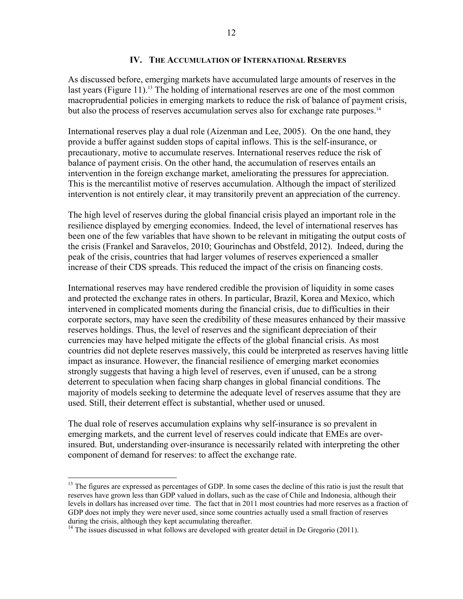#### **IV. THE ACCUMULATION OF INTERNATIONAL RESERVES**

As discussed before, emerging markets have accumulated large amounts of reserves in the last years (Figure 11).<sup>13</sup> The holding of international reserves are one of the most common macroprudential policies in emerging markets to reduce the risk of balance of payment crisis, but also the process of reserves accumulation serves also for exchange rate purposes.<sup>14</sup>

International reserves play a dual role (Aizenman and Lee, 2005). On the one hand, they provide a buffer against sudden stops of capital inflows. This is the self-insurance, or precautionary, motive to accumulate reserves. International reserves reduce the risk of balance of payment crisis. On the other hand, the accumulation of reserves entails an intervention in the foreign exchange market, ameliorating the pressures for appreciation. This is the mercantilist motive of reserves accumulation. Although the impact of sterilized intervention is not entirely clear, it may transitorily prevent an appreciation of the currency.

The high level of reserves during the global financial crisis played an important role in the resilience displayed by emerging economies. Indeed, the level of international reserves has been one of the few variables that have shown to be relevant in mitigating the output costs of the crisis (Frankel and Saravelos, 2010; Gourinchas and Obstfeld, 2012). Indeed, during the peak of the crisis, countries that had larger volumes of reserves experienced a smaller increase of their CDS spreads. This reduced the impact of the crisis on financing costs.

International reserves may have rendered credible the provision of liquidity in some cases and protected the exchange rates in others. In particular, Brazil, Korea and Mexico, which intervened in complicated moments during the financial crisis, due to difficulties in their corporate sectors, may have seen the credibility of these measures enhanced by their massive reserves holdings. Thus, the level of reserves and the significant depreciation of their currencies may have helped mitigate the effects of the global financial crisis. As most countries did not deplete reserves massively, this could be interpreted as reserves having little impact as insurance. However, the financial resilience of emerging market economies strongly suggests that having a high level of reserves, even if unused, can be a strong deterrent to speculation when facing sharp changes in global financial conditions. The majority of models seeking to determine the adequate level of reserves assume that they are used. Still, their deterrent effect is substantial, whether used or unused.

The dual role of reserves accumulation explains why self-insurance is so prevalent in emerging markets, and the current level of reserves could indicate that EMEs are overinsured. But, understanding over-insurance is necessarily related with interpreting the other component of demand for reserves: to affect the exchange rate.

<u>.</u>

 $13$  The figures are expressed as percentages of GDP. In some cases the decline of this ratio is just the result that reserves have grown less than GDP valued in dollars, such as the case of Chile and Indonesia, although their levels in dollars has increased over time. The fact that in 2011 most countries had more reserves as a fraction of GDP does not imply they were never used, since some countries actually used a small fraction of reserves during the crisis, although they kept accumulating thereafter.

 $14$ <sup>14</sup> The issues discussed in what follows are developed with greater detail in De Gregorio (2011).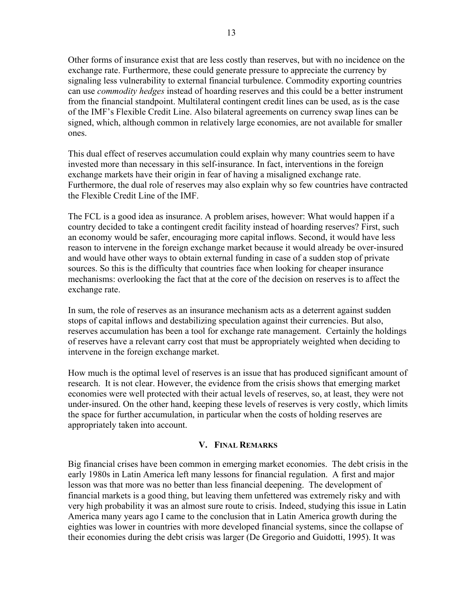Other forms of insurance exist that are less costly than reserves, but with no incidence on the exchange rate. Furthermore, these could generate pressure to appreciate the currency by signaling less vulnerability to external financial turbulence. Commodity exporting countries can use *commodity hedges* instead of hoarding reserves and this could be a better instrument

from the financial standpoint. Multilateral contingent credit lines can be used, as is the case of the IMF's Flexible Credit Line. Also bilateral agreements on currency swap lines can be signed, which, although common in relatively large economies, are not available for smaller ones.

This dual effect of reserves accumulation could explain why many countries seem to have invested more than necessary in this self-insurance. In fact, interventions in the foreign exchange markets have their origin in fear of having a misaligned exchange rate. Furthermore, the dual role of reserves may also explain why so few countries have contracted the Flexible Credit Line of the IMF.

The FCL is a good idea as insurance. A problem arises, however: What would happen if a country decided to take a contingent credit facility instead of hoarding reserves? First, such an economy would be safer, encouraging more capital inflows. Second, it would have less reason to intervene in the foreign exchange market because it would already be over-insured and would have other ways to obtain external funding in case of a sudden stop of private sources. So this is the difficulty that countries face when looking for cheaper insurance mechanisms: overlooking the fact that at the core of the decision on reserves is to affect the exchange rate.

In sum, the role of reserves as an insurance mechanism acts as a deterrent against sudden stops of capital inflows and destabilizing speculation against their currencies. But also, reserves accumulation has been a tool for exchange rate management. Certainly the holdings of reserves have a relevant carry cost that must be appropriately weighted when deciding to intervene in the foreign exchange market.

How much is the optimal level of reserves is an issue that has produced significant amount of research. It is not clear. However, the evidence from the crisis shows that emerging market economies were well protected with their actual levels of reserves, so, at least, they were not under-insured. On the other hand, keeping these levels of reserves is very costly, which limits the space for further accumulation, in particular when the costs of holding reserves are appropriately taken into account.

# **V. FINAL REMARKS**

Big financial crises have been common in emerging market economies. The debt crisis in the early 1980s in Latin America left many lessons for financial regulation. A first and major lesson was that more was no better than less financial deepening. The development of financial markets is a good thing, but leaving them unfettered was extremely risky and with very high probability it was an almost sure route to crisis. Indeed, studying this issue in Latin America many years ago I came to the conclusion that in Latin America growth during the eighties was lower in countries with more developed financial systems, since the collapse of their economies during the debt crisis was larger (De Gregorio and Guidotti, 1995). It was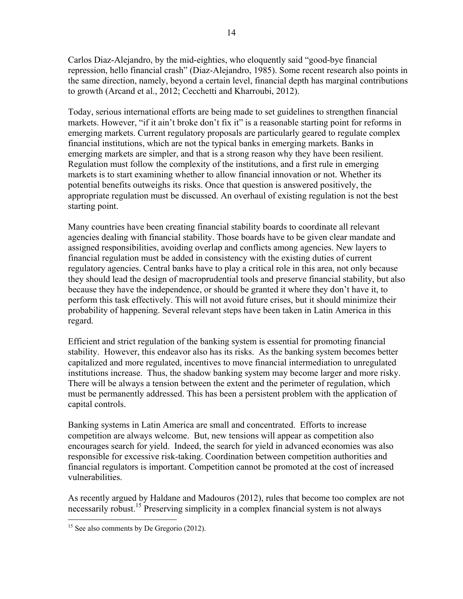Carlos Diaz-Alejandro, by the mid-eighties, who eloquently said "good-bye financial repression, hello financial crash" (Diaz-Alejandro, 1985). Some recent research also points in the same direction, namely, beyond a certain level, financial depth has marginal contributions to growth (Arcand et al., 2012; Cecchetti and Kharroubi, 2012).

Today, serious international efforts are being made to set guidelines to strengthen financial markets. However, "if it ain't broke don't fix it" is a reasonable starting point for reforms in emerging markets. Current regulatory proposals are particularly geared to regulate complex financial institutions, which are not the typical banks in emerging markets. Banks in emerging markets are simpler, and that is a strong reason why they have been resilient. Regulation must follow the complexity of the institutions, and a first rule in emerging markets is to start examining whether to allow financial innovation or not. Whether its potential benefits outweighs its risks. Once that question is answered positively, the appropriate regulation must be discussed. An overhaul of existing regulation is not the best starting point.

Many countries have been creating financial stability boards to coordinate all relevant agencies dealing with financial stability. Those boards have to be given clear mandate and assigned responsibilities, avoiding overlap and conflicts among agencies. New layers to financial regulation must be added in consistency with the existing duties of current regulatory agencies. Central banks have to play a critical role in this area, not only because they should lead the design of macroprudential tools and preserve financial stability, but also because they have the independence, or should be granted it where they don't have it, to perform this task effectively. This will not avoid future crises, but it should minimize their probability of happening. Several relevant steps have been taken in Latin America in this regard.

Efficient and strict regulation of the banking system is essential for promoting financial stability. However, this endeavor also has its risks. As the banking system becomes better capitalized and more regulated, incentives to move financial intermediation to unregulated institutions increase. Thus, the shadow banking system may become larger and more risky. There will be always a tension between the extent and the perimeter of regulation, which must be permanently addressed. This has been a persistent problem with the application of capital controls.

Banking systems in Latin America are small and concentrated. Efforts to increase competition are always welcome. But, new tensions will appear as competition also encourages search for yield. Indeed, the search for yield in advanced economies was also responsible for excessive risk-taking. Coordination between competition authorities and financial regulators is important. Competition cannot be promoted at the cost of increased vulnerabilities.

As recently argued by Haldane and Madouros (2012), rules that become too complex are not necessarily robust.<sup>15</sup> Preserving simplicity in a complex financial system is not always

 $\overline{a}$  $15$  See also comments by De Gregorio (2012).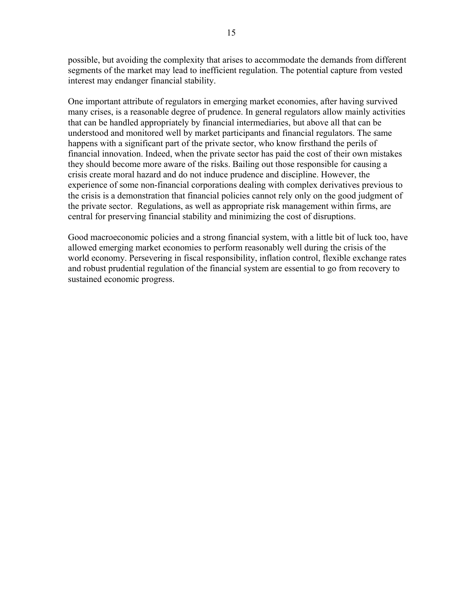possible, but avoiding the complexity that arises to accommodate the demands from different segments of the market may lead to inefficient regulation. The potential capture from vested interest may endanger financial stability.

One important attribute of regulators in emerging market economies, after having survived many crises, is a reasonable degree of prudence. In general regulators allow mainly activities that can be handled appropriately by financial intermediaries, but above all that can be understood and monitored well by market participants and financial regulators. The same happens with a significant part of the private sector, who know firsthand the perils of financial innovation. Indeed, when the private sector has paid the cost of their own mistakes they should become more aware of the risks. Bailing out those responsible for causing a crisis create moral hazard and do not induce prudence and discipline. However, the experience of some non-financial corporations dealing with complex derivatives previous to the crisis is a demonstration that financial policies cannot rely only on the good judgment of the private sector. Regulations, as well as appropriate risk management within firms, are central for preserving financial stability and minimizing the cost of disruptions.

Good macroeconomic policies and a strong financial system, with a little bit of luck too, have allowed emerging market economies to perform reasonably well during the crisis of the world economy. Persevering in fiscal responsibility, inflation control, flexible exchange rates and robust prudential regulation of the financial system are essential to go from recovery to sustained economic progress.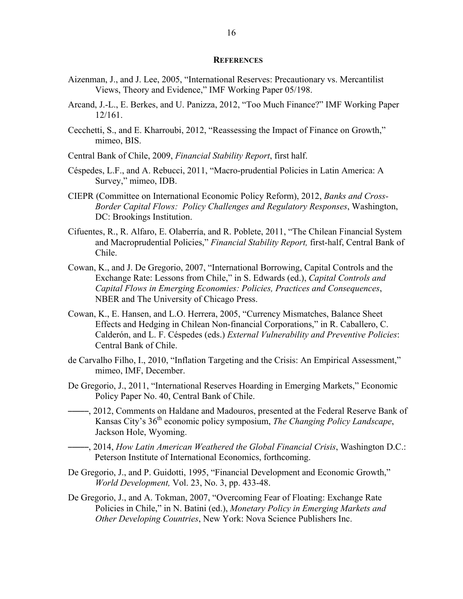#### **REFERENCES**

- Aizenman, J., and J. Lee, 2005, "International Reserves: Precautionary vs. Mercantilist Views, Theory and Evidence," IMF Working Paper 05/198.
- Arcand, J.-L., E. Berkes, and U. Panizza, 2012, "Too Much Finance?" IMF Working Paper 12/161.
- Cecchetti, S., and E. Kharroubi, 2012, "Reassessing the Impact of Finance on Growth," mimeo, BIS.
- Central Bank of Chile, 2009, *Financial Stability Report*, first half.
- Céspedes, L.F., and A. Rebucci, 2011, "Macro-prudential Policies in Latin America: A Survey," mimeo, IDB.
- CIEPR (Committee on International Economic Policy Reform), 2012, *Banks and Cross-Border Capital Flows: Policy Challenges and Regulatory Responses*, Washington, DC: Brookings Institution.
- Cifuentes, R., R. Alfaro, E. Olaberría, and R. Poblete, 2011, "The Chilean Financial System and Macroprudential Policies," *Financial Stability Report,* first-half, Central Bank of Chile.
- Cowan, K., and J. De Gregorio, 2007, "International Borrowing, Capital Controls and the Exchange Rate: Lessons from Chile," in S. Edwards (ed.), *Capital Controls and Capital Flows in Emerging Economies: Policies, Practices and Consequences*, NBER and The University of Chicago Press.
- Cowan, K., E. Hansen, and L.O. Herrera, 2005, "Currency Mismatches, Balance Sheet Effects and Hedging in Chilean Non-financial Corporations," in R. Caballero, C. Calderón, and L. F. Céspedes (eds.) *External Vulnerability and Preventive Policies*: Central Bank of Chile.
- de Carvalho Filho, I., 2010, "Inflation Targeting and the Crisis: An Empirical Assessment," mimeo, IMF, December.
- De Gregorio, J., 2011, "International Reserves Hoarding in Emerging Markets," Economic Policy Paper No. 40, Central Bank of Chile.
- <sup>------</sup>, 2012, Comments on Haldane and Madouros, presented at the Federal Reserve Bank of Kansas City's 36th economic policy symposium, *The Changing Policy Landscape*, Jackson Hole, Wyoming.
- –––––, 2014, *How Latin American Weathered the Global Financial Crisis*, Washington D.C.: Peterson Institute of International Economics, forthcoming.
- De Gregorio, J., and P. Guidotti, 1995, "Financial Development and Economic Growth," *World Development,* Vol. 23, No. 3, pp. 433-48.
- De Gregorio, J., and A. Tokman, 2007, "Overcoming Fear of Floating: Exchange Rate Policies in Chile," in N. Batini (ed.), *Monetary Policy in Emerging Markets and Other Developing Countries*, New York: Nova Science Publishers Inc.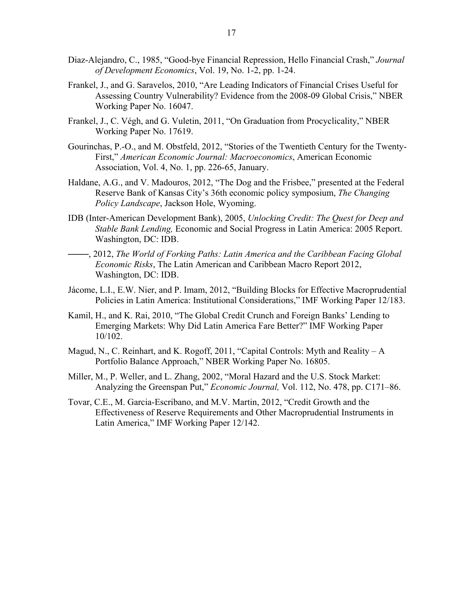- Diaz-Alejandro, C., 1985, "Good-bye Financial Repression, Hello Financial Crash," *Journal of Development Economics*, Vol. 19, No. 1-2, pp. 1-24.
- Frankel, J., and G. Saravelos, 2010, "Are Leading Indicators of Financial Crises Useful for Assessing Country Vulnerability? Evidence from the 2008-09 Global Crisis," NBER Working Paper No. 16047.
- Frankel, J., C. Végh, and G. Vuletin, 2011, "On Graduation from Procyclicality," NBER Working Paper No. 17619.
- Gourinchas, P.-O., and M. Obstfeld, 2012, "Stories of the Twentieth Century for the Twenty-First," *American Economic Journal: Macroeconomics*, American Economic Association, Vol. 4, No. 1, pp. 226-65, January.
- Haldane, A.G., and V. Madouros, 2012, "The Dog and the Frisbee," presented at the Federal Reserve Bank of Kansas City's 36th economic policy symposium, *The Changing Policy Landscape*, Jackson Hole, Wyoming.
- IDB (Inter-American Development Bank), 2005, *Unlocking Credit: The Quest for Deep and Stable Bank Lending,* Economic and Social Progress in Latin America: 2005 Report. Washington, DC: IDB.
- –––––, 2012, *The World of Forking Paths: Latin America and the Caribbean Facing Global Economic Risks*, The Latin American and Caribbean Macro Report 2012, Washington, DC: IDB.
- Jácome, L.I., E.W. Nier, and P. Imam, 2012, "Building Blocks for Effective Macroprudential Policies in Latin America: Institutional Considerations," IMF Working Paper 12/183.
- Kamil, H., and K. Rai, 2010, "The Global Credit Crunch and Foreign Banks' Lending to Emerging Markets: Why Did Latin America Fare Better?" IMF Working Paper 10/102.
- Magud, N., C. Reinhart, and K. Rogoff, 2011, "Capital Controls: Myth and Reality A Portfolio Balance Approach," NBER Working Paper No. 16805.
- Miller, M., P. Weller, and L. Zhang, 2002, "Moral Hazard and the U.S. Stock Market: Analyzing the Greenspan Put," *Economic Journal,* Vol. 112, No. 478, pp. C171–86.
- Tovar, C.E., M. Garcia-Escribano, and M.V. Martin, 2012, "Credit Growth and the Effectiveness of Reserve Requirements and Other Macroprudential Instruments in Latin America," IMF Working Paper 12/142.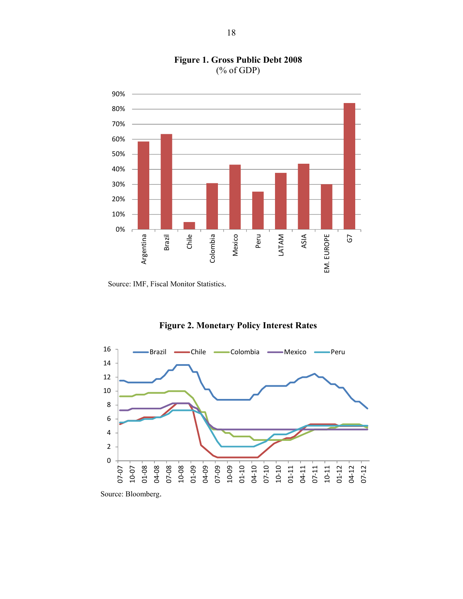

# **Figure 1. Gross Public Debt 2008**  (% of GDP)

Source: IMF, Fiscal Monitor Statistics.

# **Figure 2. Monetary Policy Interest Rates**



Source: Bloomberg.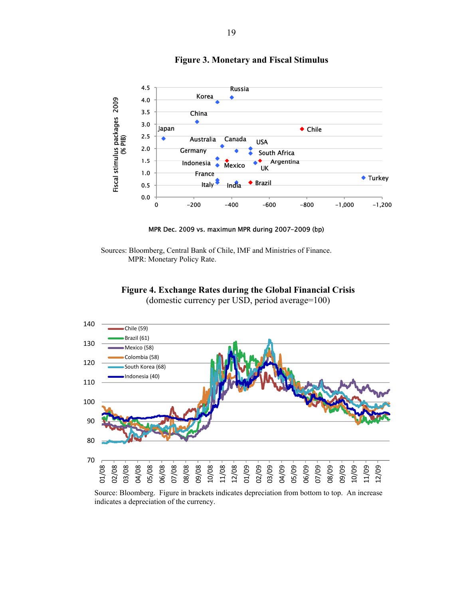

**Figure 3. Monetary and Fiscal Stimulus** 

MPR Dec. 2009 vs. maximun MPR during 2007-2009 (bp)

Sources: Bloomberg, Central Bank of Chile, IMF and Ministries of Finance. MPR: Monetary Policy Rate.





Source: Bloomberg. Figure in brackets indicates depreciation from bottom to top. An increase indicates a depreciation of the currency.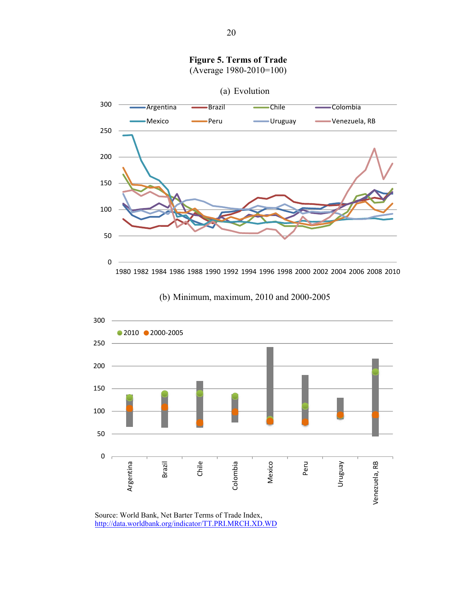





Source: World Bank, Net Barter Terms of Trade Index, http://data.worldbank.org/indicator/TT.PRI.MRCH.XD.WD

**Figure 5. Terms of Trade**  (Average 1980-2010=100)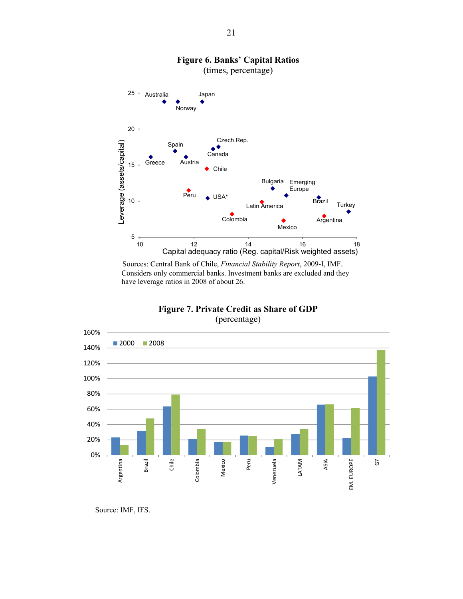

(times, percentage)



 Sources: Central Bank of Chile, *Financial Stability Report*, 2009-I, IMF. Considers only commercial banks. Investment banks are excluded and they have leverage ratios in 2008 of about 26.



**Figure 7. Private Credit as Share of GDP**  (percentage)

Source: IMF, IFS.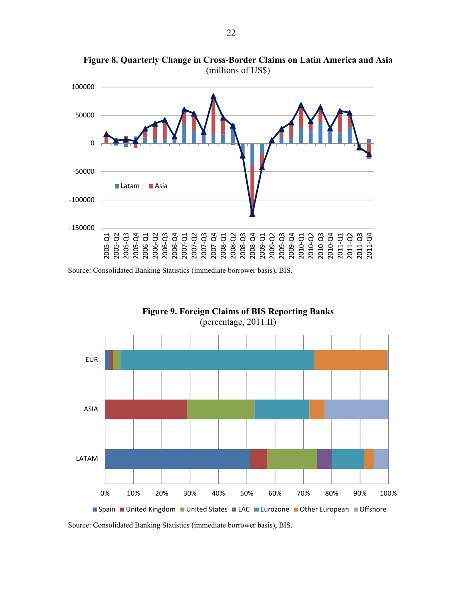

**Figure 8. Quarterly Change in Cross-Border Claims on Latin America and Asia**  (millions of US\$)

Source: Consolidated Banking Statistics (immediate borrower basis), BIS.



Source: Consolidated Banking Statistics (immediate borrower basis), BIS.